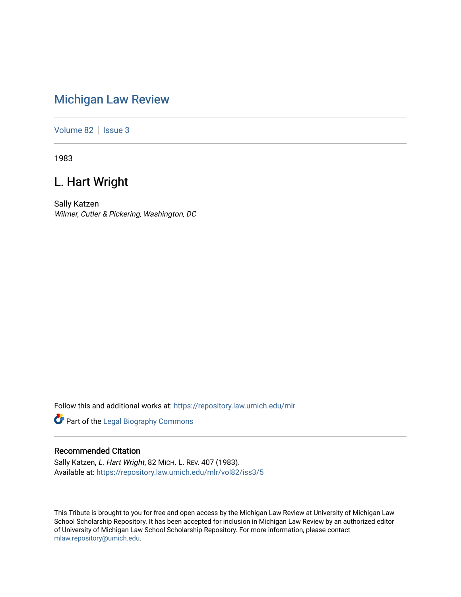# [Michigan Law Review](https://repository.law.umich.edu/mlr)

[Volume 82](https://repository.law.umich.edu/mlr/vol82) | [Issue 3](https://repository.law.umich.edu/mlr/vol82/iss3)

1983

# L. Hart Wright

Sally Katzen Wilmer, Cutler & Pickering, Washington, DC

Follow this and additional works at: [https://repository.law.umich.edu/mlr](https://repository.law.umich.edu/mlr?utm_source=repository.law.umich.edu%2Fmlr%2Fvol82%2Fiss3%2F5&utm_medium=PDF&utm_campaign=PDFCoverPages) 

Part of the [Legal Biography Commons](http://network.bepress.com/hgg/discipline/834?utm_source=repository.law.umich.edu%2Fmlr%2Fvol82%2Fiss3%2F5&utm_medium=PDF&utm_campaign=PDFCoverPages) 

### Recommended Citation

Sally Katzen, L. Hart Wright, 82 MICH. L. REV. 407 (1983). Available at: [https://repository.law.umich.edu/mlr/vol82/iss3/5](https://repository.law.umich.edu/mlr/vol82/iss3/5?utm_source=repository.law.umich.edu%2Fmlr%2Fvol82%2Fiss3%2F5&utm_medium=PDF&utm_campaign=PDFCoverPages)

This Tribute is brought to you for free and open access by the Michigan Law Review at University of Michigan Law School Scholarship Repository. It has been accepted for inclusion in Michigan Law Review by an authorized editor of University of Michigan Law School Scholarship Repository. For more information, please contact [mlaw.repository@umich.edu.](mailto:mlaw.repository@umich.edu)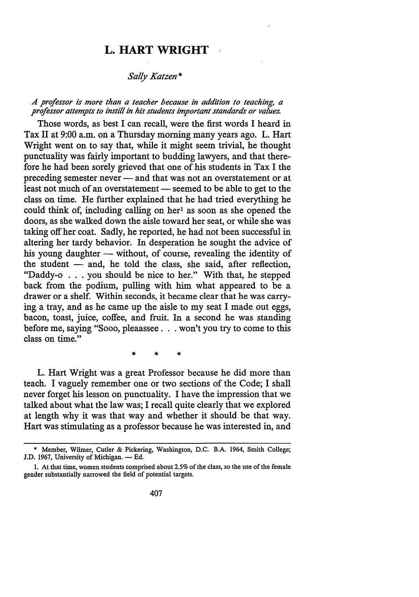## **L. HART WRIGHT**

### *Sally Katzen\**

### *A professor is more than a teacher because in addition to teaching, a professor attempts to instill in his students important standards or values.*

Those words, as best I can recall, were the first words I heard in Tax II at 9:00 a.m. on a Thursday morning many years ago. L. Hart Wright went on to say that, while it might seem trivial, he thought punctuality was fairly important to budding lawyers, and that therefore he had been sorely grieved that one of his students in Tax I the preceding semester never - and that was not an overstatement or at least not much of an overstatement — seemed to be able to get to the class on time. He further explained that he had tried everything he could think of, including calling on her<sup>1</sup> as soon as she opened the doors, as she walked down the aisle toward her seat, or while she was taking off her coat. Sadly, he reported, he had not been successful in altering her tardy behavior. In desperation he sought the advice of his young daughter — without, of course, revealing the identity of the student  $-$  and, he told the class, she said, after reflection, "Daddy-o . . . you should be nice to her." With that, he stepped back from the podium, pulling with him what appeared to be a drawer or a shelf. Within seconds, it became clear that he was carrying a tray, and as he came up the aisle to my seat I made out eggs, bacon, toast, juice, coffee, and fruit. In a second he was standing before me, saying "Sooo, pleaassee . . won't you try to come to this class on time."

\* \* \*

L. Hart Wright was a great Professor because he did more than teach. I vaguely remember one or two sections of the Code; I shall never forget his lesson on punctuality. I have the impression that we talked about what the law was; I recall quite clearly that we explored at length why it was that way and whether it should be that way. Hart was stimulating as a professor because he was interested in, and

<sup>•</sup> Member, Wilmer, Cutler & Pickering, Washington, D.C. B.A. 1964, Smith College; J.D. 1967, University of Michigan. - Ed.

I. At that time, women students comprised about 2.5% of the class, so the use of the female gender substantially narrowed the field of potential targets.